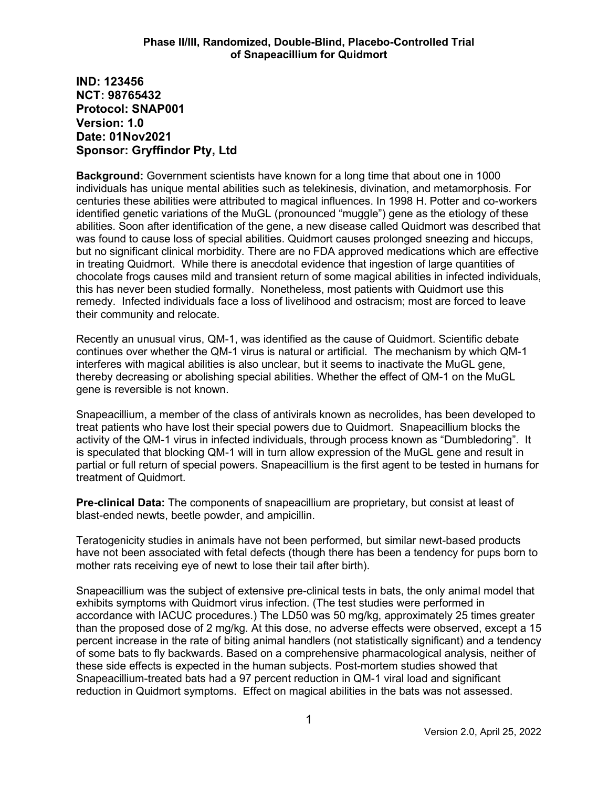**IND: 123456 NCT: 98765432 Protocol: SNAP001 Version: 1.0 Date: 01Nov2021 Sponsor: Gryffindor Pty, Ltd**

**Background:** Government scientists have known for a long time that about one in 1000 individuals has unique mental abilities such as telekinesis, divination, and metamorphosis. For centuries these abilities were attributed to magical influences. In 1998 H. Potter and co-workers identified genetic variations of the MuGL (pronounced "muggle") gene as the etiology of these abilities. Soon after identification of the gene, a new disease called Quidmort was described that was found to cause loss of special abilities. Quidmort causes prolonged sneezing and hiccups, but no significant clinical morbidity. There are no FDA approved medications which are effective in treating Quidmort. While there is anecdotal evidence that ingestion of large quantities of chocolate frogs causes mild and transient return of some magical abilities in infected individuals, this has never been studied formally. Nonetheless, most patients with Quidmort use this remedy. Infected individuals face a loss of livelihood and ostracism; most are forced to leave their community and relocate.

Recently an unusual virus, QM-1, was identified as the cause of Quidmort. Scientific debate continues over whether the QM-1 virus is natural or artificial. The mechanism by which QM-1 interferes with magical abilities is also unclear, but it seems to inactivate the MuGL gene, thereby decreasing or abolishing special abilities. Whether the effect of QM-1 on the MuGL gene is reversible is not known.

Snapeacillium, a member of the class of antivirals known as necrolides, has been developed to treat patients who have lost their special powers due to Quidmort. Snapeacillium blocks the activity of the QM-1 virus in infected individuals, through process known as "Dumbledoring". It is speculated that blocking QM-1 will in turn allow expression of the MuGL gene and result in partial or full return of special powers. Snapeacillium is the first agent to be tested in humans for treatment of Quidmort.

**Pre-clinical Data:** The components of snapeacillium are proprietary, but consist at least of blast-ended newts, beetle powder, and ampicillin.

Teratogenicity studies in animals have not been performed, but similar newt-based products have not been associated with fetal defects (though there has been a tendency for pups born to mother rats receiving eye of newt to lose their tail after birth).

Snapeacillium was the subject of extensive pre-clinical tests in bats, the only animal model that exhibits symptoms with Quidmort virus infection. (The test studies were performed in accordance with IACUC procedures.) The LD50 was 50 mg/kg, approximately 25 times greater than the proposed dose of 2 mg/kg. At this dose, no adverse effects were observed, except a 15 percent increase in the rate of biting animal handlers (not statistically significant) and a tendency of some bats to fly backwards. Based on a comprehensive pharmacological analysis, neither of these side effects is expected in the human subjects. Post-mortem studies showed that Snapeacillium-treated bats had a 97 percent reduction in QM-1 viral load and significant reduction in Quidmort symptoms. Effect on magical abilities in the bats was not assessed.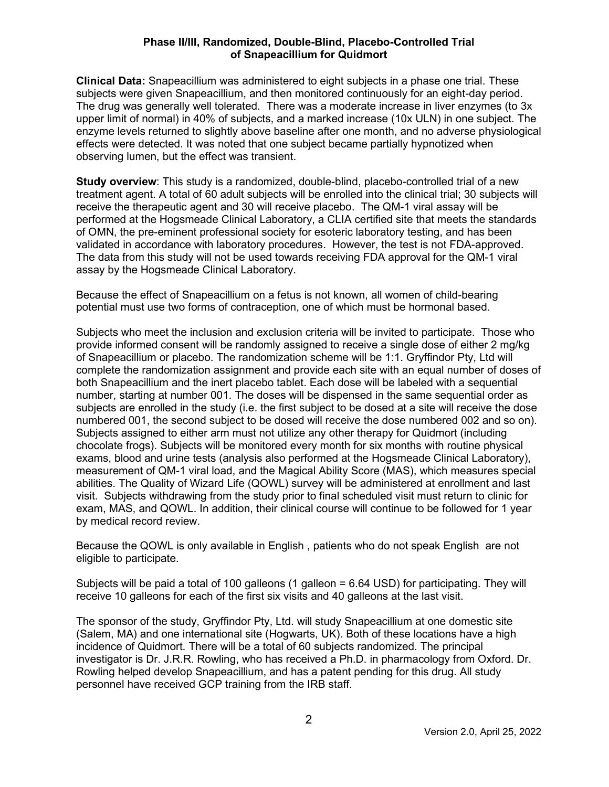# **Phase II/III, Randomized, Double-Blind, Placebo-Controlled Trial of Snapeacillium for Quidmort**

**Clinical Data:** Snapeacillium was administered to eight subjects in a phase one trial. These subjects were given Snapeacillium, and then monitored continuously for an eight-day period. The drug was generally well tolerated. There was a moderate increase in liver enzymes (to 3x upper limit of normal) in 40% of subjects, and a marked increase (10x ULN) in one subject. The enzyme levels returned to slightly above baseline after one month, and no adverse physiological effects were detected. It was noted that one subject became partially hypnotized when observing lumen, but the effect was transient.

**Study overview**: This study is a randomized, double-blind, placebo-controlled trial of a new treatment agent. A total of 60 adult subjects will be enrolled into the clinical trial; 30 subjects will receive the therapeutic agent and 30 will receive placebo. The QM-1 viral assay will be performed at the Hogsmeade Clinical Laboratory, a CLIA certified site that meets the standards of OMN, the pre-eminent professional society for esoteric laboratory testing, and has been validated in accordance with laboratory procedures. However, the test is not FDA-approved. The data from this study will not be used towards receiving FDA approval for the QM-1 viral assay by the Hogsmeade Clinical Laboratory.

Because the effect of Snapeacillium on a fetus is not known, all women of child-bearing potential must use two forms of contraception, one of which must be hormonal based.

Subjects who meet the inclusion and exclusion criteria will be invited to participate. Those who provide informed consent will be randomly assigned to receive a single dose of either 2 mg/kg of Snapeacillium or placebo. The randomization scheme will be 1:1. Gryffindor Pty, Ltd will complete the randomization assignment and provide each site with an equal number of doses of both Snapeacillium and the inert placebo tablet. Each dose will be labeled with a sequential number, starting at number 001. The doses will be dispensed in the same sequential order as subjects are enrolled in the study (i.e. the first subject to be dosed at a site will receive the dose numbered 001, the second subject to be dosed will receive the dose numbered 002 and so on). Subjects assigned to either arm must not utilize any other therapy for Quidmort (including chocolate frogs). Subjects will be monitored every month for six months with routine physical exams, blood and urine tests (analysis also performed at the Hogsmeade Clinical Laboratory), measurement of QM-1 viral load, and the Magical Ability Score (MAS), which measures special abilities. The Quality of Wizard Life (QOWL) survey will be administered at enrollment and last visit. Subjects withdrawing from the study prior to final scheduled visit must return to clinic for exam, MAS, and QOWL. In addition, their clinical course will continue to be followed for 1 year by medical record review.

Because the QOWL is only available in English , patients who do not speak English are not eligible to participate.

Subjects will be paid a total of 100 galleons (1 galleon = 6.64 USD) for participating. They will receive 10 galleons for each of the first six visits and 40 galleons at the last visit.

The sponsor of the study, Gryffindor Pty, Ltd. will study Snapeacillium at one domestic site (Salem, MA) and one international site (Hogwarts, UK). Both of these locations have a high incidence of Quidmort. There will be a total of 60 subjects randomized. The principal investigator is Dr. J.R.R. Rowling, who has received a Ph.D. in pharmacology from Oxford. Dr. Rowling helped develop Snapeacillium, and has a patent pending for this drug. All study personnel have received GCP training from the IRB staff.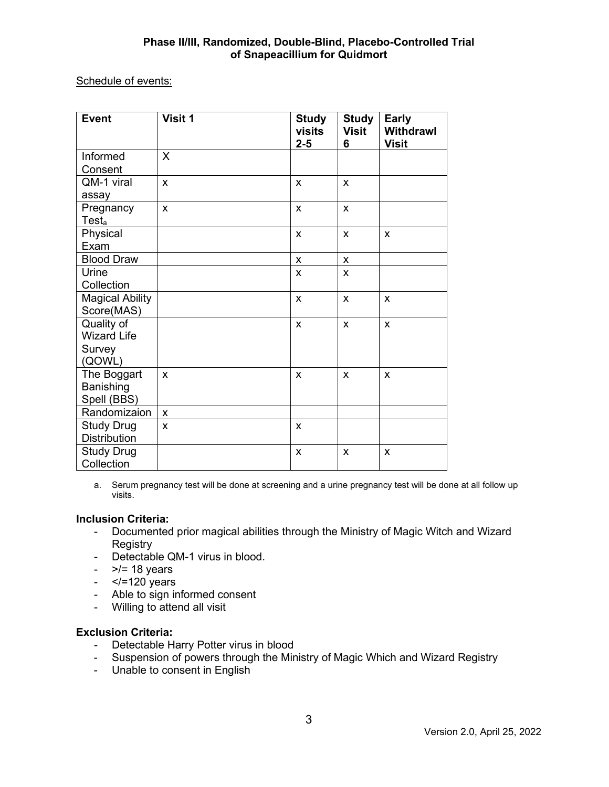# **Phase II/III, Randomized, Double-Blind, Placebo-Controlled Trial of Snapeacillium for Quidmort**

# Schedule of events:

| <b>Event</b>           | Visit 1 | <b>Study</b><br>visits<br>$2 - 5$ | <b>Study</b><br><b>Visit</b><br>6 | <b>Early</b><br><b>Withdrawl</b><br><b>Visit</b> |
|------------------------|---------|-----------------------------------|-----------------------------------|--------------------------------------------------|
| Informed               | X       |                                   |                                   |                                                  |
| Consent                |         |                                   |                                   |                                                  |
| QM-1 viral             | X       | X                                 | X                                 |                                                  |
| assay                  |         |                                   |                                   |                                                  |
| Pregnancy              | X       | X                                 | X                                 |                                                  |
| Test <sub>a</sub>      |         |                                   |                                   |                                                  |
| Physical               |         | $\mathsf{x}$                      | X                                 | X                                                |
| Exam                   |         |                                   |                                   |                                                  |
| <b>Blood Draw</b>      |         | X                                 | X                                 |                                                  |
| Urine                  |         | X                                 | X                                 |                                                  |
| Collection             |         |                                   |                                   |                                                  |
| <b>Magical Ability</b> |         | $\mathsf{x}$                      | X                                 | X                                                |
| Score(MAS)             |         |                                   |                                   |                                                  |
| Quality of             |         | X                                 | X                                 | X                                                |
| <b>Wizard Life</b>     |         |                                   |                                   |                                                  |
| Survey                 |         |                                   |                                   |                                                  |
| (QOWL)                 |         |                                   |                                   |                                                  |
| The Boggart            | X       | X                                 | X                                 | X                                                |
| Banishing              |         |                                   |                                   |                                                  |
| Spell (BBS)            |         |                                   |                                   |                                                  |
| Randomizaion           | X       |                                   |                                   |                                                  |
| <b>Study Drug</b>      | X       | $\pmb{\times}$                    |                                   |                                                  |
| <b>Distribution</b>    |         |                                   |                                   |                                                  |
| <b>Study Drug</b>      |         | X                                 | X                                 | X                                                |
| Collection             |         |                                   |                                   |                                                  |

a. Serum pregnancy test will be done at screening and a urine pregnancy test will be done at all follow up visits.

# **Inclusion Criteria:**

- Documented prior magical abilities through the Ministry of Magic Witch and Wizard **Registry**
- Detectable QM-1 virus in blood.
- $>$   $/$  = 18 years
- $\le$  /=120 years
- Able to sign informed consent
- Willing to attend all visit

#### **Exclusion Criteria:**

- Detectable Harry Potter virus in blood
- Suspension of powers through the Ministry of Magic Which and Wizard Registry
- Unable to consent in English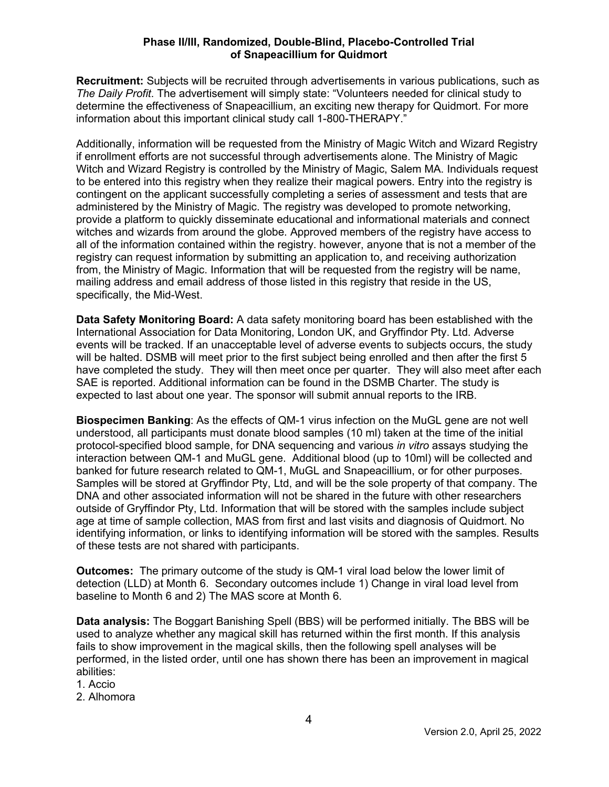# **Phase II/III, Randomized, Double-Blind, Placebo-Controlled Trial of Snapeacillium for Quidmort**

**Recruitment:** Subjects will be recruited through advertisements in various publications, such as *The Daily Profit*. The advertisement will simply state: "Volunteers needed for clinical study to determine the effectiveness of Snapeacillium, an exciting new therapy for Quidmort. For more information about this important clinical study call 1-800-THERAPY."

Additionally, information will be requested from the Ministry of Magic Witch and Wizard Registry if enrollment efforts are not successful through advertisements alone. The Ministry of Magic Witch and Wizard Registry is controlled by the Ministry of Magic, Salem MA. Individuals request to be entered into this registry when they realize their magical powers. Entry into the registry is contingent on the applicant successfully completing a series of assessment and tests that are administered by the Ministry of Magic. The registry was developed to promote networking, provide a platform to quickly disseminate educational and informational materials and connect witches and wizards from around the globe. Approved members of the registry have access to all of the information contained within the registry. however, anyone that is not a member of the registry can request information by submitting an application to, and receiving authorization from, the Ministry of Magic. Information that will be requested from the registry will be name, mailing address and email address of those listed in this registry that reside in the US, specifically, the Mid-West.

**Data Safety Monitoring Board:** A data safety monitoring board has been established with the International Association for Data Monitoring, London UK, and Gryffindor Pty. Ltd. Adverse events will be tracked. If an unacceptable level of adverse events to subjects occurs, the study will be halted. DSMB will meet prior to the first subject being enrolled and then after the first 5 have completed the study. They will then meet once per quarter. They will also meet after each SAE is reported. Additional information can be found in the DSMB Charter. The study is expected to last about one year. The sponsor will submit annual reports to the IRB.

**Biospecimen Banking**: As the effects of QM-1 virus infection on the MuGL gene are not well understood, all participants must donate blood samples (10 ml) taken at the time of the initial protocol-specified blood sample, for DNA sequencing and various *in vitro* assays studying the interaction between QM-1 and MuGL gene. Additional blood (up to 10ml) will be collected and banked for future research related to QM-1, MuGL and Snapeacillium, or for other purposes. Samples will be stored at Gryffindor Pty, Ltd, and will be the sole property of that company. The DNA and other associated information will not be shared in the future with other researchers outside of Gryffindor Pty, Ltd. Information that will be stored with the samples include subject age at time of sample collection, MAS from first and last visits and diagnosis of Quidmort. No identifying information, or links to identifying information will be stored with the samples. Results of these tests are not shared with participants.

**Outcomes:** The primary outcome of the study is QM-1 viral load below the lower limit of detection (LLD) at Month 6. Secondary outcomes include 1) Change in viral load level from baseline to Month 6 and 2) The MAS score at Month 6.

**Data analysis:** The Boggart Banishing Spell (BBS) will be performed initially. The BBS will be used to analyze whether any magical skill has returned within the first month. If this analysis fails to show improvement in the magical skills, then the following spell analyses will be performed, in the listed order, until one has shown there has been an improvement in magical abilities:

1. Accio

2. Alhomora